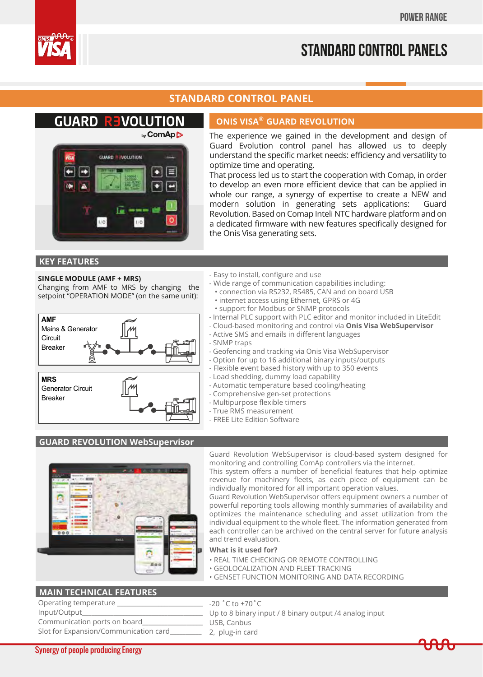

# **Standard control panels**

# **STANDARD CONTROL PANEL**

# **GUARD REVOLUTION**



### **ONIS VISA® GUARD REVOLUTION**

The experience we gained in the development and design of Guard Evolution control panel has allowed us to deeply understand the specific market needs: efficiency and versatility to optimize time and operating.

That process led us to start the cooperation with Comap, in order to develop an even more efficient device that can be applied in whole our range, a synergy of expertise to create a NEW and modern solution in generating sets applications: Guard Revolution. Based on Comap Inteli NTC hardware platform and on a dedicated firmware with new features specifically designed for the Onis Visa generating sets.

### **KEY FEATURES**

#### **SINGLE MODULE (AMF + MRS)**

Changing from AMF to MRS by changing the setpoint "OPERATION MODE" (on the same unit):





#### - Easy to install, configure and use

- Wide range of communication capabilities including:
- connection via RS232, RS485, CAN and on board USB
- internet access using Ethernet, GPRS or 4G • support for Modbus or SNMP protocols
- Internal PLC support with PLC editor and monitor included in LiteEdit
- Cloud-based monitoring and control via **Onis Visa WebSupervisor**
- Active SMS and emails in different languages
- SNMP traps
- Geofencing and tracking via Onis Visa WebSupervisor
- Option for up to 16 additional binary inputs/outputs
- Flexible event based history with up to 350 events
- Load shedding, dummy load capability
- Automatic temperature based cooling/heating
- Comprehensive gen-set protections
- Multipurpose flexible timers
- True RMS measurement
- FREE Lite Edition Software

### **GUARD REVOLUTION WebSupervisor**



Guard Revolution WebSupervisor is cloud-based system designed for monitoring and controlling ComAp controllers via the internet.

This system offers a number of beneficial features that help optimize revenue for machinery fleets, as each piece of equipment can be individually monitored for all important operation values.

Guard Revolution WebSupervisor offers equipment owners a number of powerful reporting tools allowing monthly summaries of availability and optimizes the maintenance scheduling and asset utilization from the individual equipment to the whole fleet. The information generated from each controller can be archived on the central server for future analysis and trend evaluation.

# **What is it used for?**

- REAL TIME CHECKING OR REMOTE CONTROLLING
- GEOLOCALIZATION AND FLEET TRACKING
- GENSET FUNCTION MONITORING AND DATA RECORDING

### **MAIN TECHNICAL FEATURES**

| Operating temperature                 | -20 |
|---------------------------------------|-----|
| Input/Output                          | Up  |
| Communication ports on board          | IJς |
| Slot for Expansion/Communication card |     |

 $0 °C$  to +70 $°C$ 

- to 8 binary input / 8 binary output /4 analog input
- B, Canbus
- plug-in card